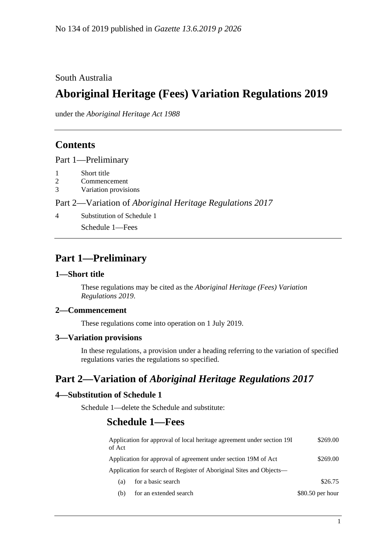### South Australia

# **Aboriginal Heritage (Fees) Variation Regulations 2019**

under the *Aboriginal Heritage Act 1988*

### **Contents**

Part [1—Preliminary](#page-0-0)

- 1 [Short title](#page-0-1)
- 2 [Commencement](#page-0-2)
- 3 [Variation provisions](#page-0-3)

Part 2—Variation of *[Aboriginal Heritage Regulations](#page-0-4) 2017*

4 [Substitution of Schedule 1](#page-0-5)

Schedule 1—Fees

### <span id="page-0-0"></span>**Part 1—Preliminary**

#### <span id="page-0-1"></span>**1—Short title**

These regulations may be cited as the *Aboriginal Heritage (Fees) Variation Regulations 2019*.

#### <span id="page-0-2"></span>**2—Commencement**

These regulations come into operation on 1 July 2019.

#### <span id="page-0-3"></span>**3—Variation provisions**

In these regulations, a provision under a heading referring to the variation of specified regulations varies the regulations so specified.

## <span id="page-0-4"></span>**Part 2—Variation of** *Aboriginal Heritage Regulations 2017*

#### <span id="page-0-5"></span>**4—Substitution of Schedule 1**

Schedule 1—delete the Schedule and substitute:

### **Schedule 1—Fees**

| of Act                                                              | Application for approval of local heritage agreement under section 19I | \$269.00          |
|---------------------------------------------------------------------|------------------------------------------------------------------------|-------------------|
| Application for approval of agreement under section 19M of Act      |                                                                        | \$269.00          |
| Application for search of Register of Aboriginal Sites and Objects— |                                                                        |                   |
| (a)                                                                 | for a basic search                                                     | \$26.75           |
| (b)                                                                 | for an extended search                                                 | $$80.50$ per hour |